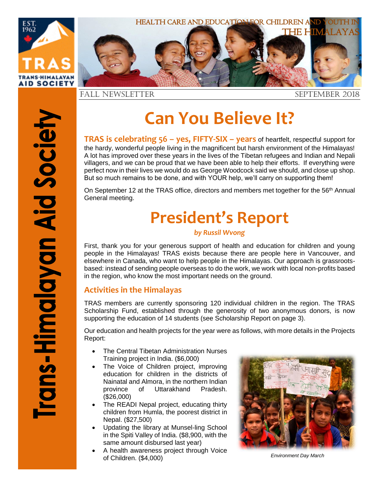

# **Can You Believe It?**

**TRAS is celebrating 56 – yes, FIFTY-SIX – years** of heartfelt, respectful support for the hardy, wonderful people living in the magnificent but harsh environment of the Himalayas! A lot has improved over these years in the lives of the Tibetan refugees and Indian and Nepali villagers, and we can be proud that we have been able to help their efforts. If everything were perfect now in their lives we would do as George Woodcock said we should, and close up shop. But so much remains to be done, and with YOUR help, we'll carry on supporting them!

On September 12 at the TRAS office, directors and members met together for the 56<sup>th</sup> Annual General meeting.

# **President's Report**

#### *by Russil Wvong*

First, thank you for your generous support of health and education for children and young people in the Himalayas! TRAS exists because there are people here in Vancouver, and elsewhere in Canada, who want to help people in the Himalayas. Our approach is grassrootsbased: instead of sending people overseas to do the work, we work with local non-profits based in the region, who know the most important needs on the ground.

#### **Activities in the Himalayas**

TRAS members are currently sponsoring 120 individual children in the region. The TRAS Scholarship Fund, established through the generosity of two anonymous donors, is now supporting the education of 14 students (see Scholarship Report on page 3).

Our education and health projects for the year were as follows, with more details in the Projects Report:

- The Central Tibetan Administration Nurses Training project in India. (\$6,000)
- The Voice of Children project, improving education for children in the districts of Nainatal and Almora, in the northern Indian province of Uttarakhand Pradesh. (\$26,000)
- The READI Nepal project, educating thirty children from Humla, the poorest district in Nepal. (\$27,500)
- Updating the library at Munsel-ling School in the Spiti Valley of India. (\$8,900, with the same amount disbursed last year)
- A health awareness project through Voice of Children. (\$4,000) *Environment Day March*

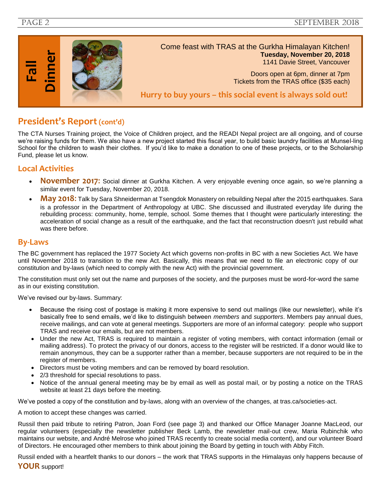PAGE 2 september 2018



#### **President's Report(cont'd)**

The CTA Nurses Training project, the Voice of Children project, and the READI Nepal project are all ongoing, and of course we're raising funds for them. We also have a new project started this fiscal year, to build basic laundry facilities at Munsel-ling School for the children to wash their clothes. If you'd like to make a donation to one of these projects, or to the Scholarship Fund, please let us know.

#### **Local Activities**

- **November 2017**: Social dinner at Gurkha Kitchen. A very enjoyable evening once again, so we're planning a similar event for Tuesday, November 20, 2018.
- **May 2018**: Talk by Sara Shneiderman at Tsengdok Monastery on rebuilding Nepal after the 2015 earthquakes. Sara is a professor in the Department of Anthropology at UBC. She discussed and illustrated everyday life during the rebuilding process: community, home, temple, school. Some themes that I thought were particularly interesting: the acceleration of social change as a result of the earthquake, and the fact that reconstruction doesn't just rebuild what was there before.

#### **By-Laws**

The BC government has replaced the 1977 Society Act which governs non-profits in BC with a new Societies Act. We have until November 2018 to transition to the new Act. Basically, this means that we need to file an electronic copy of our constitution and by-laws (which need to comply with the new Act) with the provincial government.

The constitution must only set out the name and purposes of the society, and the purposes must be word-for-word the same as in our existing constitution.

We've revised our by-laws. Summary:

- Because the rising cost of postage is making it more expensive to send out mailings (like our newsletter), while it's basically free to send emails, we'd like to distinguish between *members* and *supporters*. Members pay annual dues, receive mailings, and can vote at general meetings. Supporters are more of an informal category: people who support TRAS and receive our emails, but are not members.
- Under the new Act, TRAS is required to maintain a register of voting members, with contact information (email or mailing address). To protect the privacy of our donors, access to the register will be restricted. If a donor would like to remain anonymous, they can be a supporter rather than a member, because supporters are not required to be in the register of members.
- Directors must be voting members and can be removed by board resolution.
- 2/3 threshold for special resolutions to pass.
- Notice of the annual general meeting may be by email as well as postal mail, or by posting a notice on the TRAS website at least 21 days before the meeting.

We've posted a copy of the constitution and by-laws, along with an overview of the changes, at tras.ca/societies-act.

A motion to accept these changes was carried.

Russil then paid tribute to retiring Patron, Joan Ford (see page 3) and thanked our Office Manager Joanne MacLeod, our regular volunteers (especially the newsletter publisher Beck Lamb, the newsletter mail-out crew, Maria Rubinchik who maintains our website, and André Melrose who joined TRAS recently to create social media content), and our volunteer Board of Directors. He encouraged other members to think about joining the Board by getting in touch with Abby Fitch.

Russil ended with a heartfelt thanks to our donors – the work that TRAS supports in the Himalayas only happens because of **YOUR** support!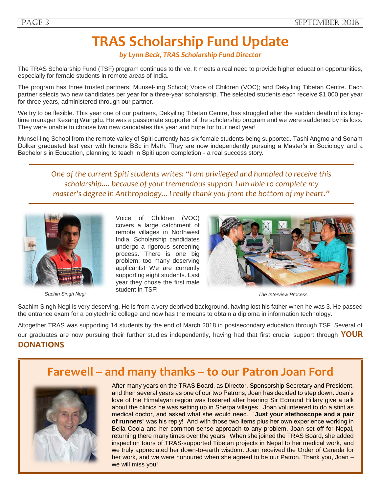# **TRAS Scholarship Fund Update**

*by Lynn Beck, TRAS Scholarship Fund Director*

The TRAS Scholarship Fund (TSF) program continues to thrive. It meets a real need to provide higher education opportunities, especially for female students in remote areas of India.

The program has three trusted partners: Munsel-ling School; Voice of Children (VOC); and Dekyiling Tibetan Centre. Each partner selects two new candidates per year for a three-year scholarship. The selected students each receive \$1,000 per year for three years, administered through our partner.

We try to be flexible. This year one of our partners, Dekyiling Tibetan Centre, has struggled after the sudden death of its longtime manager Kesang Wangdu. He was a passionate supporter of the scholarship program and we were saddened by his loss. They were unable to choose two new candidates this year and hope for four next year!

Munsel-ling School from the remote valley of Spiti currently has six female students being supported. Tashi Angmo and Sonam Dolkar graduated last year with honors BSc in Math. They are now independently pursuing a Master's in Sociology and a Bachelor's in Education, planning to teach in Spiti upon completion - a real success story.

*One of the current Spiti students writes: "I am privileged and humbled to receive this scholarship.... because of your tremendous support I am able to complete my master's degree in Anthropology... I really thank you from the bottom of my heart."*



*Sachin Singh Negi*

Voice of Children (VOC) covers a large catchment of remote villages in Northwest India. Scholarship candidates undergo a rigorous screening process. There is one big problem: too many deserving applicants! We are currently supporting eight students. Last year they chose the first male student in TSF!



*The Interview Process*

Sachim Singh Negi is very deserving. He is from a very deprived background, having lost his father when he was 3. He passed the entrance exam for a polytechnic college and now has the means to obtain a diploma in information technology.

Altogether TRAS was supporting 14 students by the end of March 2018 in postsecondary education through TSF. Several of our graduates are now pursuing their further studies independently, having had that first crucial support through **YOUR DONATIONS**.

### **Farewell – and many thanks – to our Patron Joan Ford**



After many years on the TRAS Board, as Director, Sponsorship Secretary and President, and then several years as one of our two Patrons, Joan has decided to step down. Joan's love of the Himalayan region was fostered after hearing Sir Edmund Hillary give a talk about the clinics he was setting up in Sherpa villages. Joan volunteered to do a stint as medical doctor, and asked what she would need. "**Just your stethoscope and a pair of runners**" was his reply! And with those two items plus her own experience working in Bella Coola and her common sense approach to any problem, Joan set off for Nepal, returning there many times over the years. When she joined the TRAS Board, she added inspection tours of TRAS-supported Tibetan projects in Nepal to her medical work, and we truly appreciated her down-to-earth wisdom. Joan received the Order of Canada for her work, and we were honoured when she agreed to be our Patron. Thank you, Joan – we will miss you!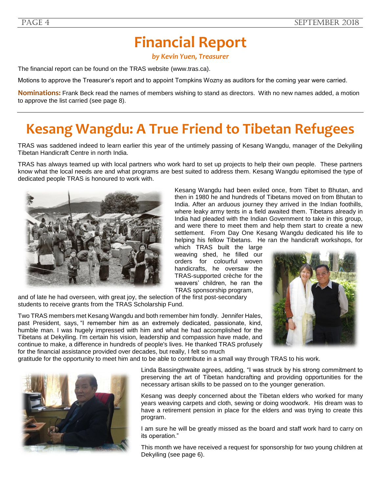# **Financial Report**

*by Kevin Yuen, Treasurer*

The financial report can be found on the TRAS website [\(www.tras.ca\)](http://www.tras.ca/).

Motions to approve the Treasurer's report and to appoint Tompkins Wozny as auditors for the coming year were carried.

**Nominations:** Frank Beck read the names of members wishing to stand as directors. With no new names added, a motion to approve the list carried (see page 8).

# **Kesang Wangdu: A True Friend to Tibetan Refugees**

TRAS was saddened indeed to learn earlier this year of the untimely passing of Kesang Wangdu, manager of the Dekyiling Tibetan Handicraft Centre in north India.

TRAS has always teamed up with local partners who work hard to set up projects to help their own people. These partners know what the local needs are and what programs are best suited to address them. Kesang Wangdu epitomised the type of dedicated people TRAS is honoured to work with.



Kesang Wangdu had been exiled once, from Tibet to Bhutan, and then in 1980 he and hundreds of Tibetans moved on from Bhutan to India. After an arduous journey they arrived in the Indian foothills, where leaky army tents in a field awaited them. Tibetans already in India had pleaded with the Indian Government to take in this group, and were there to meet them and help them start to create a new settlement. From Day One Kesang Wangdu dedicated his life to helping his fellow Tibetans. He ran the handicraft workshops, for

which TRAS built the large weaving shed, he filled our orders for colourful woven handicrafts, he oversaw the TRAS-supported crèche for the weavers' children, he ran the TRAS sponsorship program,

and of late he had overseen, with great joy, the selection of the first post-secondary students to receive grants from the TRAS Scholarship Fund.

Two TRAS members met Kesang Wangdu and both remember him fondly. Jennifer Hales, past President, says, "I remember him as an extremely dedicated, passionate, kind, humble man. I was hugely impressed with him and what he had accomplished for the Tibetans at Dekyiling. I'm certain his vision, leadership and compassion have made, and continue to make, a difference in hundreds of people's lives. He thanked TRAS profusely for the financial assistance provided over decades, but really, I felt so much



gratitude for the opportunity to meet him and to be able to contribute in a small way through TRAS to his work.



Linda Bassingthwaite agrees, adding, "I was struck by his strong commitment to preserving the art of Tibetan handcrafting and providing opportunities for the necessary artisan skills to be passed on to the younger generation.

Kesang was deeply concerned about the Tibetan elders who worked for many years weaving carpets and cloth, sewing or doing woodwork. His dream was to have a retirement pension in place for the elders and was trying to create this program.

I am sure he will be greatly missed as the board and staff work hard to carry on its operation."

This month we have received a request for sponsorship for two young children at Dekyiling (see page 6).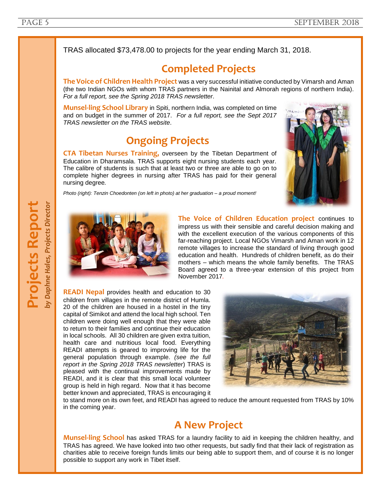TRAS allocated \$73,478.00 to projects for the year ending March 31, 2018.

### **Completed Projects**

**The Voice of Children Health Project** was a very successful initiative conducted by Vimarsh and Aman (the two Indian NGOs with whom TRAS partners in the Nainital and Almorah regions of northern India). *For a full report, see the Spring 2018 TRAS newsletter.*

**Munsel-ling School Library** in Spiti, northern India, was completed on time and on budget in the summer of 2017. *For a full report, see the Sept 2017 TRAS newsletter on the TRAS website*.

## **Ongoing Projects**

**CTA Tibetan Nurses Training,** overseen by the Tibetan Department of Education in Dharamsala. TRAS supports eight nursing students each year. The calibre of students is such that at least two or three are able to go on to complete higher degrees in nursing after TRAS has paid for their general nursing degree*.*



*Photo (right): Tenzin Choedonten (on left in photo) at her graduation – a proud moment!*



**The Voice of Children Education project** continues to impress us with their sensible and careful decision making and with the excellent execution of the various components of this far-reaching project. Local NGOs Vimarsh and Aman work in 12 remote villages to increase the standard of living through good education and health. Hundreds of children benefit, as do their mothers – which means the whole family benefits. The TRAS Board agreed to a three-year extension of this project from November 2017*.*

**READI Nepal** provides health and education to 30 children from villages in the remote district of Humla. 20 of the children are housed in a hostel in the tiny capital of Simikot and attend the local high school. Ten children were doing well enough that they were able to return to their families and continue their education in local schools. All 30 children are given extra tuition, health care and nutritious local food. Everything READI attempts is geared to improving life for the general population through example. *(see the full report in the Spring 2018 TRAS newsletter*) TRAS is pleased with the continual improvements made by READI, and it is clear that this small local volunteer group is held in high regard. Now that it has become better known and appreciated, TRAS is encouraging it



to stand more on its own feet, and READI has agreed to reduce the amount requested from TRAS by 10% in the coming year.

### **A New Project**

**Munsel-ling School** has asked TRAS for a laundry facility to aid in keeping the children healthy, and TRAS has agreed. We have looked into two other requests, but sadly find that their lack of registration as charities able to receive foreign funds limits our being able to support them, and of course it is no longer possible to support any work in Tibet itself.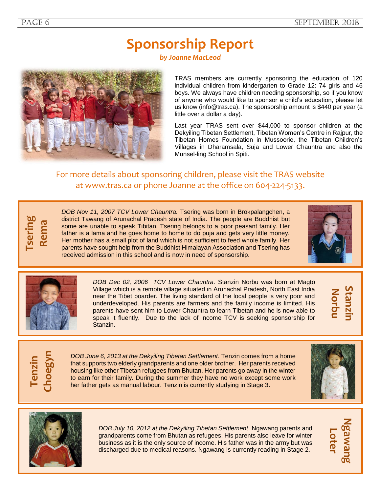# **Sponsorship Report**

*by Joanne MacLeod*



TRAS members are currently sponsoring the education of 120 individual children from kindergarten to Grade 12: 74 girls and 46 boys. We always have children needing sponsorship, so if you know of anyone who would like to sponsor a child's education, please let us know [\(info@tras.ca\)](mailto:info@tras.ca). The sponsorship amount is \$440 per year (a little over a dollar a day).

Last year TRAS sent over \$44,000 to sponsor children at the Dekyiling Tibetan Settlement, Tibetan Women's Centre in Rajpur, the Tibetan Homes Foundation in Mussoorie, the Tibetan Children's Villages in Dharamsala, Suja and Lower Chauntra and also the Munsel-ling School in Spiti.

#### For more details about sponsoring children, please visit the TRAS website at [www.tras.ca](http://www.tras.ca/) or phone Joanne at the office on 604-224-5133.



*DOB Nov 11, 2007 TCV Lower Chauntra.* Tsering was born in Brokpalangchen, a district Tawang of Arunachal Pradesh state of India. The people are Buddhist but some are unable to speak Tibitan. Tsering belongs to a poor peasant family. Her father is a lama and he goes home to home to do puja and gets very little money. Her mother has a small plot of land which is not sufficient to feed whole family. Her parents have sought help from the Buddhist Himalayan Association and Tsering has received admission in this school and is now in need of sponsorship.





*DOB Dec 02, 2006 TCV Lower Chauntra.* Stanzin Norbu was born at Magto Village which is a remote village situated in Arunachal Pradesh, North East India near the Tibet boarder. The living standard of the local people is very poor and underdeveloped. His parents are farmers and the family income is limited. His parents have sent him to Lower Chauntra to learn Tibetan and he is now able to speak it fluently. Due to the lack of income TCV is seeking sponsorship for Stanzin.



**Tenzin Choegyn**

*DOB June 6, 2013 at the Dekyiling Tibetan Settlement.* Tenzin comes from a home that supports two elderly grandparents and one older brother. Her parents received housing like other Tibetan refugees from Bhutan. Her parents go away in the winter to earn for their family. During the summer they have no work except some work her father gets as manual labour. Tenzin is currently studying in Stage 3.





*DOB July 10, 2012 at the Dekyiling Tibetan Settlement.* Ngawang parents and grandparents come from Bhutan as refugees. His parents also leave for winter business as it is the only source of income. His father was in the army but was discharged due to medical reasons. Ngawang is currently reading in Stage 2.

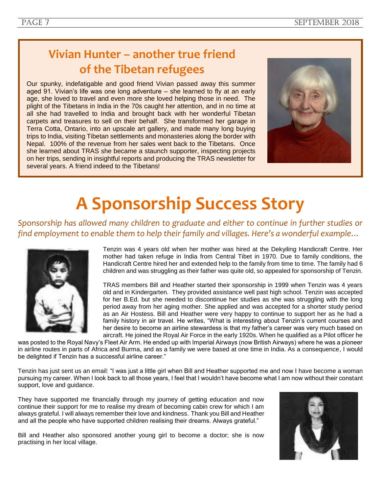# **Vivian Hunter – another true friend of the Tibetan refugees**

Our spunky, indefatigable and good friend Vivian passed away this summer aged 91. Vivian's life was one long adventure – she learned to fly at an early age, she loved to travel and even more she loved helping those in need. The plight of the Tibetans in India in the 70s caught her attention, and in no time at all she had travelled to India and brought back with her wonderful Tibetan carpets and treasures to sell on their behalf. She transformed her garage in Terra Cotta, Ontario, into an upscale art gallery, and made many long buying trips to India, visiting Tibetan settlements and monasteries along the border with Nepal. 100% of the revenue from her sales went back to the Tibetans. Once she learned about TRAS she became a staunch supporter, inspecting projects on her trips, sending in insightful reports and producing the TRAS newsletter for several years. A friend indeed to the Tibetans!



# **A Sponsorship Success Story**

*Sponsorship has allowed many children to graduate and either to continue in further studies or find employment to enable them to help their family and villages. Here's a wonderful example…*



Tenzin was 4 years old when her mother was hired at the Dekyiling Handicraft Centre. Her mother had taken refuge in India from Central Tibet in 1970. Due to family conditions, the Handicraft Centre hired her and extended help to the family from time to time. The family had 6 children and was struggling as their father was quite old, so appealed for sponsorship of Tenzin.

TRAS members Bill and Heather started their sponsorship in 1999 when Tenzin was 4 years old and in Kindergarten. They provided assistance well past high school. Tenzin was accepted for her B.Ed. but she needed to discontinue her studies as she was struggling with the long period away from her aging mother. She applied and was accepted for a shorter study period as an Air Hostess. Bill and Heather were very happy to continue to support her as he had a family history in air travel. He writes, "What is interesting about Tenzin's current courses and her desire to become an airline stewardess is that my father's career was very much based on aircraft. He joined the Royal Air Force in the early 1920s. When he qualified as a Pilot officer he

was posted to the Royal Navy's Fleet Air Arm. He ended up with Imperial Airways (now British Airways) where he was a pioneer in airline routes in parts of Africa and Burma, and as a family we were based at one time in India. As a consequence, I would be delighted if Tenzin has a successful airline career."

Tenzin has just sent us an email: "I was just a little girl when Bill and Heather supported me and now I have become a woman pursuing my career. When I look back to all those years, I feel that I wouldn't have become what I am now without their constant support, love and guidance.

They have supported me financially through my journey of getting education and now continue their support for me to realise my dream of becoming cabin crew for which I am always grateful. I will always remember their love and kindness. Thank you Bill and Heather and all the people who have supported children realising their dreams. Always grateful."

Bill and Heather also sponsored another young girl to become a doctor; she is now practising in her local village.